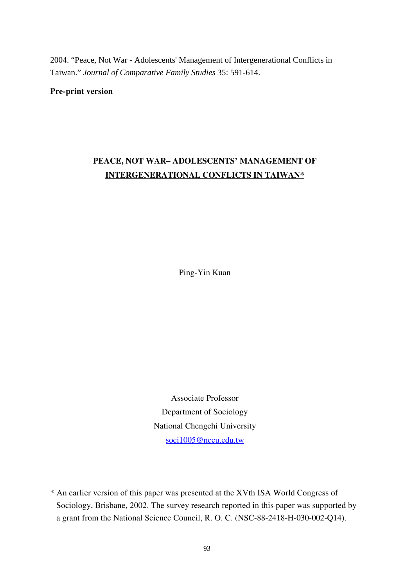2004. "Peace, Not War - Adolescents' Management of Intergenerational Conflicts in Taiwan." *Journal of Comparative Family Studies* 35: 591-614.

**Pre-print version** 

# **PEACE, NOT WAR– ADOLESCENTS' MANAGEMENT OF INTERGENERATIONAL CONFLICTS IN TAIWAN\***

Ping-Yin Kuan

Associate Professor Department of Sociology National Chengchi University [soci1005@nccu.edu.tw](mailto:soci1005@nccu.edu.tw)

\* An earlier version of this paper was presented at the XVth ISA World Congress of Sociology, Brisbane, 2002. The survey research reported in this paper was supported by a grant from the National Science Council, R. O. C. (NSC-88-2418-H-030-002-Q14).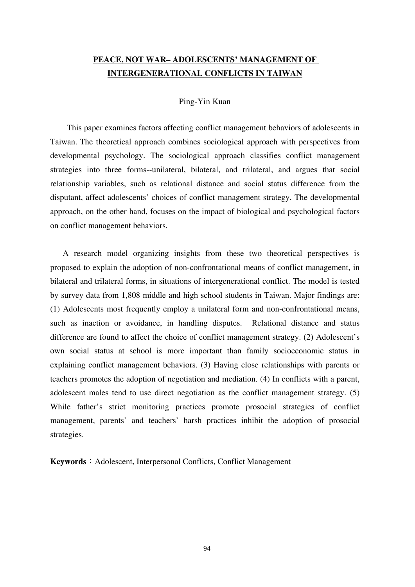## **PEACE, NOT WAR– ADOLESCENTS' MANAGEMENT OF INTERGENERATIONAL CONFLICTS IN TAIWAN**

#### Ping-Yin Kuan

This paper examines factors affecting conflict management behaviors of adolescents in Taiwan. The theoretical approach combines sociological approach with perspectives from developmental psychology. The sociological approach classifies conflict management strategies into three forms--unilateral, bilateral, and trilateral, and argues that social relationship variables, such as relational distance and social status difference from the disputant, affect adolescents' choices of conflict management strategy. The developmental approach, on the other hand, focuses on the impact of biological and psychological factors on conflict management behaviors.

A research model organizing insights from these two theoretical perspectives is proposed to explain the adoption of non-confrontational means of conflict management, in bilateral and trilateral forms, in situations of intergenerational conflict. The model is tested by survey data from 1,808 middle and high school students in Taiwan. Major findings are: (1) Adolescents most frequently employ a unilateral form and non-confrontational means, such as inaction or avoidance, in handling disputes. Relational distance and status difference are found to affect the choice of conflict management strategy. (2) Adolescent's own social status at school is more important than family socioeconomic status in explaining conflict management behaviors. (3) Having close relationships with parents or teachers promotes the adoption of negotiation and mediation. (4) In conflicts with a parent, adolescent males tend to use direct negotiation as the conflict management strategy. (5) While father's strict monitoring practices promote prosocial strategies of conflict management, parents' and teachers' harsh practices inhibit the adoption of prosocial strategies.

**Keywords**: Adolescent, Interpersonal Conflicts, Conflict Management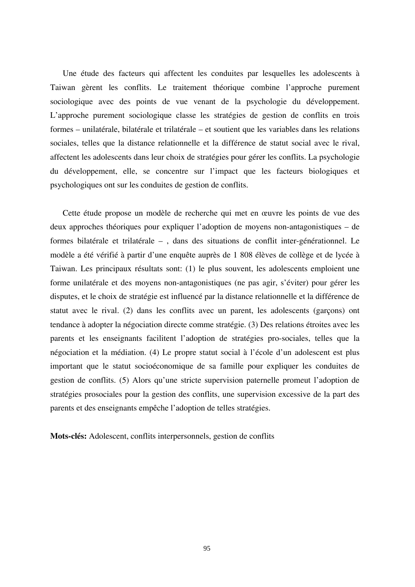Une étude des facteurs qui affectent les conduites par lesquelles les adolescents à Taiwan gèrent les conflits. Le traitement théorique combine l'approche purement sociologique avec des points de vue venant de la psychologie du développement. L'approche purement sociologique classe les stratégies de gestion de conflits en trois formes – unilatérale, bilatérale et trilatérale – et soutient que les variables dans les relations sociales, telles que la distance relationnelle et la différence de statut social avec le rival, affectent les adolescents dans leur choix de stratégies pour gérer les conflits. La psychologie du développement, elle, se concentre sur l'impact que les facteurs biologiques et psychologiques ont sur les conduites de gestion de conflits.

Cette étude propose un modèle de recherche qui met en œuvre les points de vue des deux approches théoriques pour expliquer l'adoption de moyens non-antagonistiques – de formes bilatérale et trilatérale – , dans des situations de conflit inter-générationnel. Le modèle a été vérifié à partir d'une enquête auprès de 1 808 élèves de collège et de lycée à Taiwan. Les principaux résultats sont: (1) le plus souvent, les adolescents emploient une forme unilatérale et des moyens non-antagonistiques (ne pas agir, s'éviter) pour gérer les disputes, et le choix de stratégie est influencé par la distance relationnelle et la différence de statut avec le rival. (2) dans les conflits avec un parent, les adolescents (garçons) ont tendance à adopter la négociation directe comme stratégie. (3) Des relations étroites avec les parents et les enseignants facilitent l'adoption de stratégies pro-sociales, telles que la négociation et la médiation. (4) Le propre statut social à l'école d'un adolescent est plus important que le statut socioéconomique de sa famille pour expliquer les conduites de gestion de conflits. (5) Alors qu'une stricte supervision paternelle promeut l'adoption de stratégies prosociales pour la gestion des conflits, une supervision excessive de la part des parents et des enseignants empêche l'adoption de telles stratégies.

**Mots-clés:** Adolescent, conflits interpersonnels, gestion de conflits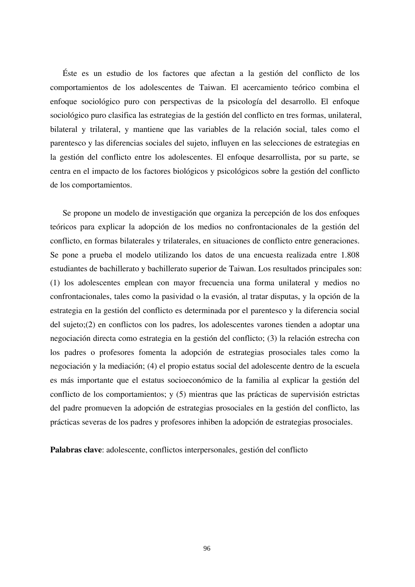Éste es un estudio de los factores que afectan a la gestión del conflicto de los comportamientos de los adolescentes de Taiwan. El acercamiento teórico combina el enfoque sociológico puro con perspectivas de la psicología del desarrollo. El enfoque sociológico puro clasifica las estrategias de la gestión del conflicto en tres formas, unilateral, bilateral y trilateral, y mantiene que las variables de la relación social, tales como el parentesco y las diferencias sociales del sujeto, influyen en las selecciones de estrategias en la gestión del conflicto entre los adolescentes. El enfoque desarrollista, por su parte, se centra en el impacto de los factores biológicos y psicológicos sobre la gestión del conflicto de los comportamientos.

Se propone un modelo de investigación que organiza la percepción de los dos enfoques teóricos para explicar la adopción de los medios no confrontacionales de la gestión del conflicto, en formas bilaterales y trilaterales, en situaciones de conflicto entre generaciones. Se pone a prueba el modelo utilizando los datos de una encuesta realizada entre 1.808 estudiantes de bachillerato y bachillerato superior de Taiwan. Los resultados principales son: (1) los adolescentes emplean con mayor frecuencia una forma unilateral y medios no confrontacionales, tales como la pasividad o la evasión, al tratar disputas, y la opción de la estrategia en la gestión del conflicto es determinada por el parentesco y la diferencia social del sujeto;(2) en conflictos con los padres, los adolescentes varones tienden a adoptar una negociación directa como estrategia en la gestión del conflicto; (3) la relación estrecha con los padres o profesores fomenta la adopción de estrategias prosociales tales como la negociación y la mediación; (4) el propio estatus social del adolescente dentro de la escuela es más importante que el estatus socioeconómico de la familia al explicar la gestión del conflicto de los comportamientos; y (5) mientras que las prácticas de supervisión estrictas del padre promueven la adopción de estrategias prosociales en la gestión del conflicto, las prácticas severas de los padres y profesores inhiben la adopción de estrategias prosociales.

**Palabras clave**: adolescente, conflictos interpersonales, gestión del conflicto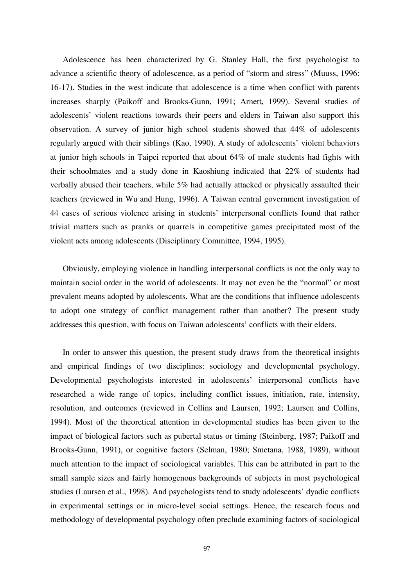Adolescence has been characterized by G. Stanley Hall, the first psychologist to advance a scientific theory of adolescence, as a period of "storm and stress" (Muuss, 1996: 16-17). Studies in the west indicate that adolescence is a time when conflict with parents increases sharply (Paikoff and Brooks-Gunn, 1991; Arnett, 1999). Several studies of adolescents' violent reactions towards their peers and elders in Taiwan also support this observation. A survey of junior high school students showed that 44% of adolescents regularly argued with their siblings (Kao, 1990). A study of adolescents' violent behaviors at junior high schools in Taipei reported that about 64% of male students had fights with their schoolmates and a study done in Kaoshiung indicated that 22% of students had verbally abused their teachers, while 5% had actually attacked or physically assaulted their teachers (reviewed in Wu and Hung, 1996). A Taiwan central government investigation of 44 cases of serious violence arising in students' interpersonal conflicts found that rather trivial matters such as pranks or quarrels in competitive games precipitated most of the violent acts among adolescents (Disciplinary Committee, 1994, 1995).

Obviously, employing violence in handling interpersonal conflicts is not the only way to maintain social order in the world of adolescents. It may not even be the "normal" or most prevalent means adopted by adolescents. What are the conditions that influence adolescents to adopt one strategy of conflict management rather than another? The present study addresses this question, with focus on Taiwan adolescents' conflicts with their elders.

In order to answer this question, the present study draws from the theoretical insights and empirical findings of two disciplines: sociology and developmental psychology. Developmental psychologists interested in adolescents' interpersonal conflicts have researched a wide range of topics, including conflict issues, initiation, rate, intensity, resolution, and outcomes (reviewed in Collins and Laursen, 1992; Laursen and Collins, 1994). Most of the theoretical attention in developmental studies has been given to the impact of biological factors such as pubertal status or timing (Steinberg, 1987; Paikoff and Brooks-Gunn, 1991), or cognitive factors (Selman, 1980; Smetana, 1988, 1989), without much attention to the impact of sociological variables. This can be attributed in part to the small sample sizes and fairly homogenous backgrounds of subjects in most psychological studies (Laursen et al., 1998). And psychologists tend to study adolescents' dyadic conflicts in experimental settings or in micro-level social settings. Hence, the research focus and methodology of developmental psychology often preclude examining factors of sociological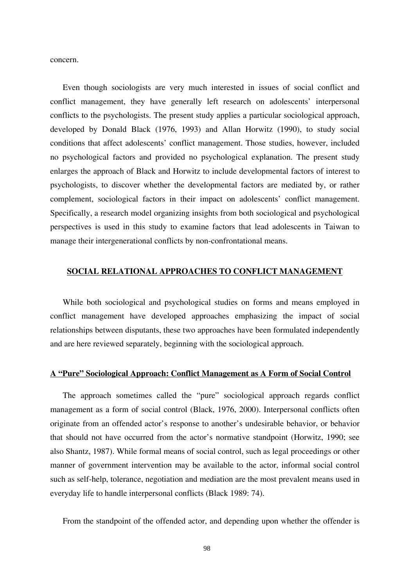concern.

Even though sociologists are very much interested in issues of social conflict and conflict management, they have generally left research on adolescents' interpersonal conflicts to the psychologists. The present study applies a particular sociological approach, developed by Donald Black (1976, 1993) and Allan Horwitz (1990), to study social conditions that affect adolescents' conflict management. Those studies, however, included no psychological factors and provided no psychological explanation. The present study enlarges the approach of Black and Horwitz to include developmental factors of interest to psychologists, to discover whether the developmental factors are mediated by, or rather complement, sociological factors in their impact on adolescents' conflict management. Specifically, a research model organizing insights from both sociological and psychological perspectives is used in this study to examine factors that lead adolescents in Taiwan to manage their intergenerational conflicts by non-confrontational means.

#### **SOCIAL RELATIONAL APPROACHES TO CONFLICT MANAGEMENT**

While both sociological and psychological studies on forms and means employed in conflict management have developed approaches emphasizing the impact of social relationships between disputants, these two approaches have been formulated independently and are here reviewed separately, beginning with the sociological approach.

#### **A "Pure" Sociological Approach: Conflict Management as A Form of Social Control**

The approach sometimes called the "pure" sociological approach regards conflict management as a form of social control (Black, 1976, 2000). Interpersonal conflicts often originate from an offended actor's response to another's undesirable behavior, or behavior that should not have occurred from the actor's normative standpoint (Horwitz, 1990; see also Shantz, 1987). While formal means of social control, such as legal proceedings or other manner of government intervention may be available to the actor, informal social control such as self-help, tolerance, negotiation and mediation are the most prevalent means used in everyday life to handle interpersonal conflicts (Black 1989: 74).

From the standpoint of the offended actor, and depending upon whether the offender is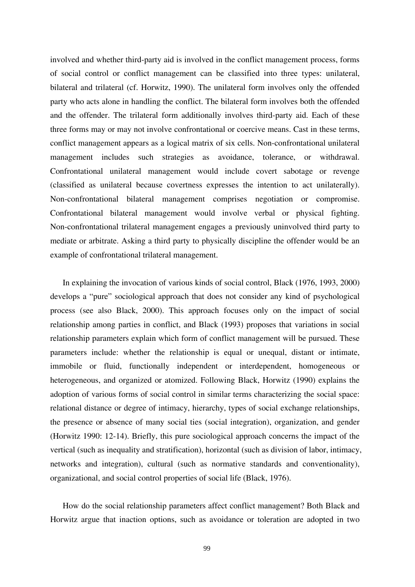involved and whether third-party aid is involved in the conflict management process, forms of social control or conflict management can be classified into three types: unilateral, bilateral and trilateral (cf. Horwitz, 1990). The unilateral form involves only the offended party who acts alone in handling the conflict. The bilateral form involves both the offended and the offender. The trilateral form additionally involves third-party aid. Each of these three forms may or may not involve confrontational or coercive means. Cast in these terms, conflict management appears as a logical matrix of six cells. Non-confrontational unilateral management includes such strategies as avoidance, tolerance, or withdrawal. Confrontational unilateral management would include covert sabotage or revenge (classified as unilateral because covertness expresses the intention to act unilaterally). Non-confrontational bilateral management comprises negotiation or compromise. Confrontational bilateral management would involve verbal or physical fighting. Non-confrontational trilateral management engages a previously uninvolved third party to mediate or arbitrate. Asking a third party to physically discipline the offender would be an example of confrontational trilateral management.

In explaining the invocation of various kinds of social control, Black (1976, 1993, 2000) develops a "pure" sociological approach that does not consider any kind of psychological process (see also Black, 2000). This approach focuses only on the impact of social relationship among parties in conflict, and Black (1993) proposes that variations in social relationship parameters explain which form of conflict management will be pursued. These parameters include: whether the relationship is equal or unequal, distant or intimate, immobile or fluid, functionally independent or interdependent, homogeneous or heterogeneous, and organized or atomized. Following Black, Horwitz (1990) explains the adoption of various forms of social control in similar terms characterizing the social space: relational distance or degree of intimacy, hierarchy, types of social exchange relationships, the presence or absence of many social ties (social integration), organization, and gender (Horwitz 1990: 12-14). Briefly, this pure sociological approach concerns the impact of the vertical (such as inequality and stratification), horizontal (such as division of labor, intimacy, networks and integration), cultural (such as normative standards and conventionality), organizational, and social control properties of social life (Black, 1976).

How do the social relationship parameters affect conflict management? Both Black and Horwitz argue that inaction options, such as avoidance or toleration are adopted in two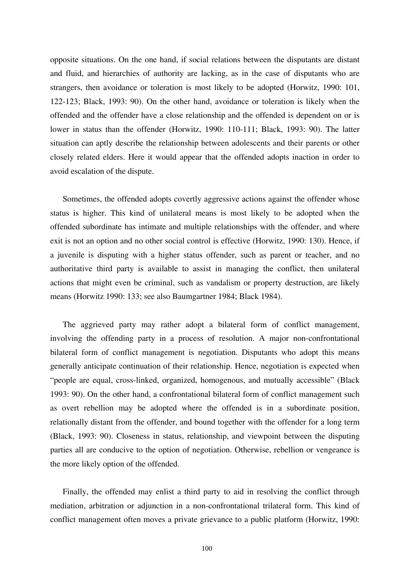opposite situations. On the one hand, if social relations between the disputants are distant and fluid, and hierarchies of authority are lacking, as in the case of disputants who are strangers, then avoidance or toleration is most likely to be adopted (Horwitz, 1990: 101, 122-123; Black, 1993: 90). On the other hand, avoidance or toleration is likely when the offended and the offender have a close relationship and the offended is dependent on or is lower in status than the offender (Horwitz, 1990: 110-111; Black, 1993: 90). The latter situation can aptly describe the relationship between adolescents and their parents or other closely related elders. Here it would appear that the offended adopts inaction in order to avoid escalation of the dispute.

Sometimes, the offended adopts covertly aggressive actions against the offender whose status is higher. This kind of unilateral means is most likely to be adopted when the offended subordinate has intimate and multiple relationships with the offender, and where exit is not an option and no other social control is effective (Horwitz, 1990: 130). Hence, if a juvenile is disputing with a higher status offender, such as parent or teacher, and no authoritative third party is available to assist in managing the conflict, then unilateral actions that might even be criminal, such as vandalism or property destruction, are likely means (Horwitz 1990: 133; see also Baumgartner 1984; Black 1984).

The aggrieved party may rather adopt a bilateral form of conflict management, involving the offending party in a process of resolution. A major non-confrontational bilateral form of conflict management is negotiation. Disputants who adopt this means generally anticipate continuation of their relationship. Hence, negotiation is expected when "people are equal, cross-linked, organized, homogenous, and mutually accessible" (Black 1993: 90). On the other hand, a confrontational bilateral form of conflict management such as overt rebellion may be adopted where the offended is in a subordinate position, relationally distant from the offender, and bound together with the offender for a long term (Black, 1993: 90). Closeness in status, relationship, and viewpoint between the disputing parties all are conducive to the option of negotiation. Otherwise, rebellion or vengeance is the more likely option of the offended.

Finally, the offended may enlist a third party to aid in resolving the conflict through mediation, arbitration or adjunction in a non-confrontational trilateral form. This kind of conflict management often moves a private grievance to a public platform (Horwitz, 1990: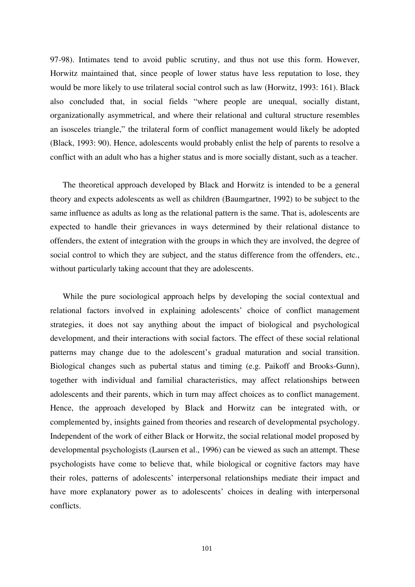97-98). Intimates tend to avoid public scrutiny, and thus not use this form. However, Horwitz maintained that, since people of lower status have less reputation to lose, they would be more likely to use trilateral social control such as law (Horwitz, 1993: 161). Black also concluded that, in social fields "where people are unequal, socially distant, organizationally asymmetrical, and where their relational and cultural structure resembles an isosceles triangle," the trilateral form of conflict management would likely be adopted (Black, 1993: 90). Hence, adolescents would probably enlist the help of parents to resolve a conflict with an adult who has a higher status and is more socially distant, such as a teacher.

The theoretical approach developed by Black and Horwitz is intended to be a general theory and expects adolescents as well as children (Baumgartner, 1992) to be subject to the same influence as adults as long as the relational pattern is the same. That is, adolescents are expected to handle their grievances in ways determined by their relational distance to offenders, the extent of integration with the groups in which they are involved, the degree of social control to which they are subject, and the status difference from the offenders, etc., without particularly taking account that they are adolescents.

While the pure sociological approach helps by developing the social contextual and relational factors involved in explaining adolescents' choice of conflict management strategies, it does not say anything about the impact of biological and psychological development, and their interactions with social factors. The effect of these social relational patterns may change due to the adolescent's gradual maturation and social transition. Biological changes such as pubertal status and timing (e.g. Paikoff and Brooks-Gunn), together with individual and familial characteristics, may affect relationships between adolescents and their parents, which in turn may affect choices as to conflict management. Hence, the approach developed by Black and Horwitz can be integrated with, or complemented by, insights gained from theories and research of developmental psychology. Independent of the work of either Black or Horwitz, the social relational model proposed by developmental psychologists (Laursen et al., 1996) can be viewed as such an attempt. These psychologists have come to believe that, while biological or cognitive factors may have their roles, patterns of adolescents' interpersonal relationships mediate their impact and have more explanatory power as to adolescents' choices in dealing with interpersonal conflicts.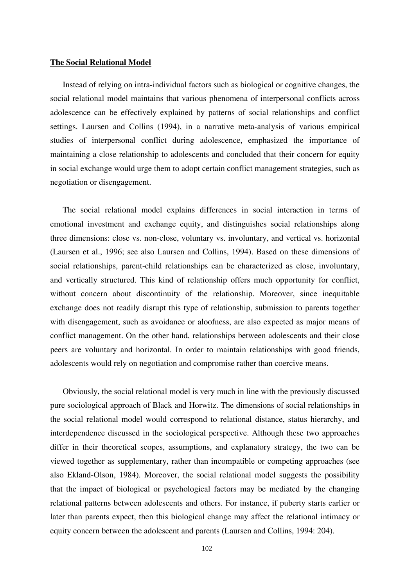#### **The Social Relational Model**

Instead of relying on intra-individual factors such as biological or cognitive changes, the social relational model maintains that various phenomena of interpersonal conflicts across adolescence can be effectively explained by patterns of social relationships and conflict settings. Laursen and Collins (1994), in a narrative meta-analysis of various empirical studies of interpersonal conflict during adolescence, emphasized the importance of maintaining a close relationship to adolescents and concluded that their concern for equity in social exchange would urge them to adopt certain conflict management strategies, such as negotiation or disengagement.

The social relational model explains differences in social interaction in terms of emotional investment and exchange equity, and distinguishes social relationships along three dimensions: close vs. non-close, voluntary vs. involuntary, and vertical vs. horizontal (Laursen et al., 1996; see also Laursen and Collins, 1994). Based on these dimensions of social relationships, parent-child relationships can be characterized as close, involuntary, and vertically structured. This kind of relationship offers much opportunity for conflict, without concern about discontinuity of the relationship. Moreover, since inequitable exchange does not readily disrupt this type of relationship, submission to parents together with disengagement, such as avoidance or aloofness, are also expected as major means of conflict management. On the other hand, relationships between adolescents and their close peers are voluntary and horizontal. In order to maintain relationships with good friends, adolescents would rely on negotiation and compromise rather than coercive means.

Obviously, the social relational model is very much in line with the previously discussed pure sociological approach of Black and Horwitz. The dimensions of social relationships in the social relational model would correspond to relational distance, status hierarchy, and interdependence discussed in the sociological perspective. Although these two approaches differ in their theoretical scopes, assumptions, and explanatory strategy, the two can be viewed together as supplementary, rather than incompatible or competing approaches (see also Ekland-Olson, 1984). Moreover, the social relational model suggests the possibility that the impact of biological or psychological factors may be mediated by the changing relational patterns between adolescents and others. For instance, if puberty starts earlier or later than parents expect, then this biological change may affect the relational intimacy or equity concern between the adolescent and parents (Laursen and Collins, 1994: 204).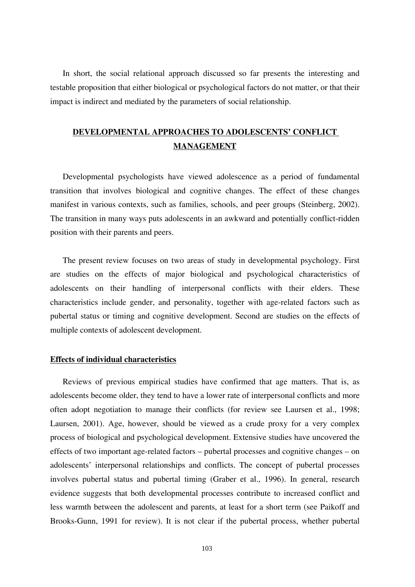In short, the social relational approach discussed so far presents the interesting and testable proposition that either biological or psychological factors do not matter, or that their impact is indirect and mediated by the parameters of social relationship.

## **DEVELOPMENTAL APPROACHES TO ADOLESCENTS' CONFLICT MANAGEMENT**

Developmental psychologists have viewed adolescence as a period of fundamental transition that involves biological and cognitive changes. The effect of these changes manifest in various contexts, such as families, schools, and peer groups (Steinberg, 2002). The transition in many ways puts adolescents in an awkward and potentially conflict-ridden position with their parents and peers.

The present review focuses on two areas of study in developmental psychology. First are studies on the effects of major biological and psychological characteristics of adolescents on their handling of interpersonal conflicts with their elders. These characteristics include gender, and personality, together with age-related factors such as pubertal status or timing and cognitive development. Second are studies on the effects of multiple contexts of adolescent development.

#### **Effects of individual characteristics**

Reviews of previous empirical studies have confirmed that age matters. That is, as adolescents become older, they tend to have a lower rate of interpersonal conflicts and more often adopt negotiation to manage their conflicts (for review see Laursen et al., 1998; Laursen, 2001). Age, however, should be viewed as a crude proxy for a very complex process of biological and psychological development. Extensive studies have uncovered the effects of two important age-related factors – pubertal processes and cognitive changes – on adolescents' interpersonal relationships and conflicts. The concept of pubertal processes involves pubertal status and pubertal timing (Graber et al., 1996). In general, research evidence suggests that both developmental processes contribute to increased conflict and less warmth between the adolescent and parents, at least for a short term (see Paikoff and Brooks-Gunn, 1991 for review). It is not clear if the pubertal process, whether pubertal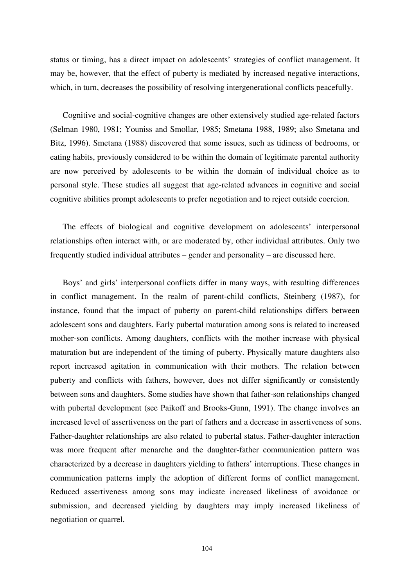status or timing, has a direct impact on adolescents' strategies of conflict management. It may be, however, that the effect of puberty is mediated by increased negative interactions, which, in turn, decreases the possibility of resolving intergenerational conflicts peacefully.

Cognitive and social-cognitive changes are other extensively studied age-related factors (Selman 1980, 1981; Youniss and Smollar, 1985; Smetana 1988, 1989; also Smetana and Bitz, 1996). Smetana (1988) discovered that some issues, such as tidiness of bedrooms, or eating habits, previously considered to be within the domain of legitimate parental authority are now perceived by adolescents to be within the domain of individual choice as to personal style. These studies all suggest that age-related advances in cognitive and social cognitive abilities prompt adolescents to prefer negotiation and to reject outside coercion.

The effects of biological and cognitive development on adolescents' interpersonal relationships often interact with, or are moderated by, other individual attributes. Only two frequently studied individual attributes – gender and personality – are discussed here.

Boys' and girls' interpersonal conflicts differ in many ways, with resulting differences in conflict management. In the realm of parent-child conflicts, Steinberg (1987), for instance, found that the impact of puberty on parent-child relationships differs between adolescent sons and daughters. Early pubertal maturation among sons is related to increased mother-son conflicts. Among daughters, conflicts with the mother increase with physical maturation but are independent of the timing of puberty. Physically mature daughters also report increased agitation in communication with their mothers. The relation between puberty and conflicts with fathers, however, does not differ significantly or consistently between sons and daughters. Some studies have shown that father-son relationships changed with pubertal development (see Paikoff and Brooks-Gunn, 1991). The change involves an increased level of assertiveness on the part of fathers and a decrease in assertiveness of sons. Father-daughter relationships are also related to pubertal status. Father-daughter interaction was more frequent after menarche and the daughter-father communication pattern was characterized by a decrease in daughters yielding to fathers' interruptions. These changes in communication patterns imply the adoption of different forms of conflict management. Reduced assertiveness among sons may indicate increased likeliness of avoidance or submission, and decreased yielding by daughters may imply increased likeliness of negotiation or quarrel.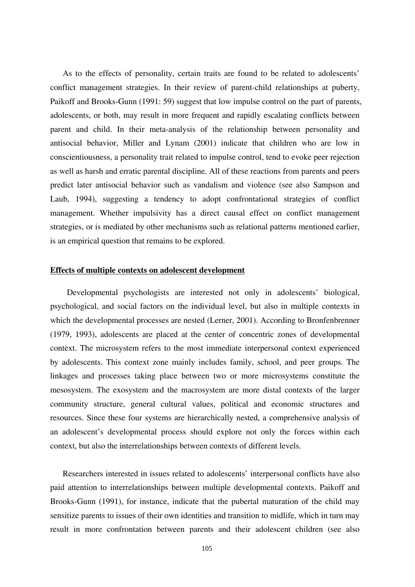As to the effects of personality, certain traits are found to be related to adolescents' conflict management strategies. In their review of parent-child relationships at puberty, Paikoff and Brooks-Gunn (1991: 59) suggest that low impulse control on the part of parents, adolescents, or both, may result in more frequent and rapidly escalating conflicts between parent and child. In their meta-analysis of the relationship between personality and antisocial behavior, Miller and Lynam (2001) indicate that children who are low in conscientiousness, a personality trait related to impulse control, tend to evoke peer rejection as well as harsh and erratic parental discipline. All of these reactions from parents and peers predict later antisocial behavior such as vandalism and violence (see also Sampson and Laub, 1994), suggesting a tendency to adopt confrontational strategies of conflict management. Whether impulsivity has a direct causal effect on conflict management strategies, or is mediated by other mechanisms such as relational patterns mentioned earlier, is an empirical question that remains to be explored.

#### **Effects of multiple contexts on adolescent development**

Developmental psychologists are interested not only in adolescents' biological, psychological, and social factors on the individual level, but also in multiple contexts in which the developmental processes are nested (Lerner, 2001). According to Bronfenbrenner (1979, 1993), adolescents are placed at the center of concentric zones of developmental context. The microsystem refers to the most immediate interpersonal context experienced by adolescents. This context zone mainly includes family, school, and peer groups. The linkages and processes taking place between two or more microsystems constitute the mesosystem. The exosystem and the macrosystem are more distal contexts of the larger community structure, general cultural values, political and economic structures and resources. Since these four systems are hierarchically nested, a comprehensive analysis of an adolescent's developmental process should explore not only the forces within each context, but also the interrelationships between contexts of different levels.

Researchers interested in issues related to adolescents' interpersonal conflicts have also paid attention to interrelationships between multiple developmental contexts. Paikoff and Brooks-Gunn (1991), for instance, indicate that the pubertal maturation of the child may sensitize parents to issues of their own identities and transition to midlife, which in turn may result in more confrontation between parents and their adolescent children (see also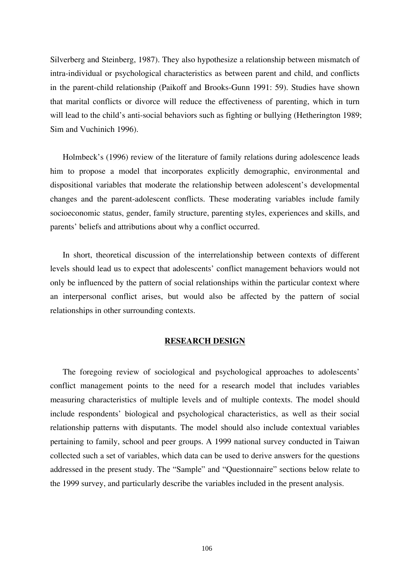Silverberg and Steinberg, 1987). They also hypothesize a relationship between mismatch of intra-individual or psychological characteristics as between parent and child, and conflicts in the parent-child relationship (Paikoff and Brooks-Gunn 1991: 59). Studies have shown that marital conflicts or divorce will reduce the effectiveness of parenting, which in turn will lead to the child's anti-social behaviors such as fighting or bullying (Hetherington 1989; Sim and Vuchinich 1996).

Holmbeck's (1996) review of the literature of family relations during adolescence leads him to propose a model that incorporates explicitly demographic, environmental and dispositional variables that moderate the relationship between adolescent's developmental changes and the parent-adolescent conflicts. These moderating variables include family socioeconomic status, gender, family structure, parenting styles, experiences and skills, and parents' beliefs and attributions about why a conflict occurred.

In short, theoretical discussion of the interrelationship between contexts of different levels should lead us to expect that adolescents' conflict management behaviors would not only be influenced by the pattern of social relationships within the particular context where an interpersonal conflict arises, but would also be affected by the pattern of social relationships in other surrounding contexts.

## **RESEARCH DESIGN**

The foregoing review of sociological and psychological approaches to adolescents' conflict management points to the need for a research model that includes variables measuring characteristics of multiple levels and of multiple contexts. The model should include respondents' biological and psychological characteristics, as well as their social relationship patterns with disputants. The model should also include contextual variables pertaining to family, school and peer groups. A 1999 national survey conducted in Taiwan collected such a set of variables, which data can be used to derive answers for the questions addressed in the present study. The "Sample" and "Questionnaire" sections below relate to the 1999 survey, and particularly describe the variables included in the present analysis.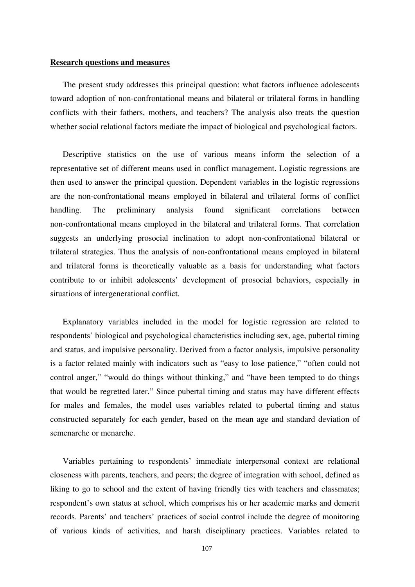#### **Research questions and measures**

The present study addresses this principal question: what factors influence adolescents toward adoption of non-confrontational means and bilateral or trilateral forms in handling conflicts with their fathers, mothers, and teachers? The analysis also treats the question whether social relational factors mediate the impact of biological and psychological factors.

Descriptive statistics on the use of various means inform the selection of a representative set of different means used in conflict management. Logistic regressions are then used to answer the principal question. Dependent variables in the logistic regressions are the non-confrontational means employed in bilateral and trilateral forms of conflict handling. The preliminary analysis found significant correlations between non-confrontational means employed in the bilateral and trilateral forms. That correlation suggests an underlying prosocial inclination to adopt non-confrontational bilateral or trilateral strategies. Thus the analysis of non-confrontational means employed in bilateral and trilateral forms is theoretically valuable as a basis for understanding what factors contribute to or inhibit adolescents' development of prosocial behaviors, especially in situations of intergenerational conflict.

Explanatory variables included in the model for logistic regression are related to respondents' biological and psychological characteristics including sex, age, pubertal timing and status, and impulsive personality. Derived from a factor analysis, impulsive personality is a factor related mainly with indicators such as "easy to lose patience," "often could not control anger," "would do things without thinking," and "have been tempted to do things that would be regretted later." Since pubertal timing and status may have different effects for males and females, the model uses variables related to pubertal timing and status constructed separately for each gender, based on the mean age and standard deviation of semenarche or menarche.

Variables pertaining to respondents' immediate interpersonal context are relational closeness with parents, teachers, and peers; the degree of integration with school, defined as liking to go to school and the extent of having friendly ties with teachers and classmates; respondent's own status at school, which comprises his or her academic marks and demerit records. Parents' and teachers' practices of social control include the degree of monitoring of various kinds of activities, and harsh disciplinary practices. Variables related to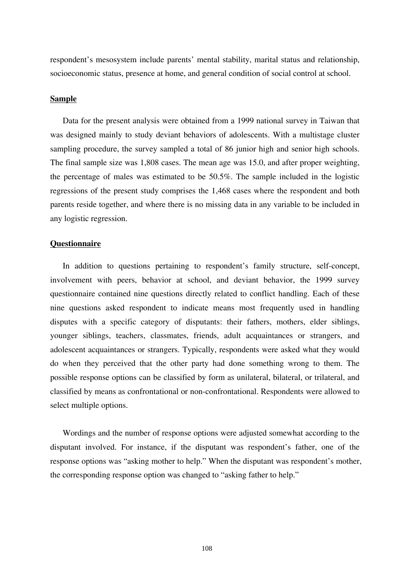respondent's mesosystem include parents' mental stability, marital status and relationship, socioeconomic status, presence at home, and general condition of social control at school.

### **Sample**

Data for the present analysis were obtained from a 1999 national survey in Taiwan that was designed mainly to study deviant behaviors of adolescents. With a multistage cluster sampling procedure, the survey sampled a total of 86 junior high and senior high schools. The final sample size was 1,808 cases. The mean age was 15.0, and after proper weighting, the percentage of males was estimated to be 50.5%. The sample included in the logistic regressions of the present study comprises the 1,468 cases where the respondent and both parents reside together, and where there is no missing data in any variable to be included in any logistic regression.

## **Questionnaire**

In addition to questions pertaining to respondent's family structure, self-concept, involvement with peers, behavior at school, and deviant behavior, the 1999 survey questionnaire contained nine questions directly related to conflict handling. Each of these nine questions asked respondent to indicate means most frequently used in handling disputes with a specific category of disputants: their fathers, mothers, elder siblings, younger siblings, teachers, classmates, friends, adult acquaintances or strangers, and adolescent acquaintances or strangers. Typically, respondents were asked what they would do when they perceived that the other party had done something wrong to them. The possible response options can be classified by form as unilateral, bilateral, or trilateral, and classified by means as confrontational or non-confrontational. Respondents were allowed to select multiple options.

Wordings and the number of response options were adjusted somewhat according to the disputant involved. For instance, if the disputant was respondent's father, one of the response options was "asking mother to help." When the disputant was respondent's mother, the corresponding response option was changed to "asking father to help."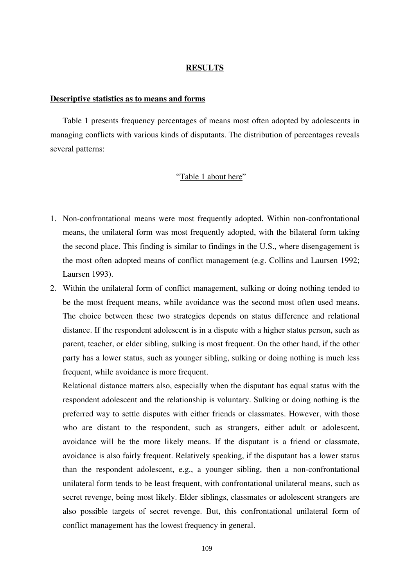#### **RESULTS**

#### **Descriptive statistics as to means and forms**

Table 1 presents frequency percentages of means most often adopted by adolescents in managing conflicts with various kinds of disputants. The distribution of percentages reveals several patterns:

#### "Table 1 about here"

- 1. Non-confrontational means were most frequently adopted. Within non-confrontational means, the unilateral form was most frequently adopted, with the bilateral form taking the second place. This finding is similar to findings in the U.S., where disengagement is the most often adopted means of conflict management (e.g. Collins and Laursen 1992; Laursen 1993).
- 2. Within the unilateral form of conflict management, sulking or doing nothing tended to be the most frequent means, while avoidance was the second most often used means. The choice between these two strategies depends on status difference and relational distance. If the respondent adolescent is in a dispute with a higher status person, such as parent, teacher, or elder sibling, sulking is most frequent. On the other hand, if the other party has a lower status, such as younger sibling, sulking or doing nothing is much less frequent, while avoidance is more frequent.

Relational distance matters also, especially when the disputant has equal status with the respondent adolescent and the relationship is voluntary. Sulking or doing nothing is the preferred way to settle disputes with either friends or classmates. However, with those who are distant to the respondent, such as strangers, either adult or adolescent, avoidance will be the more likely means. If the disputant is a friend or classmate, avoidance is also fairly frequent. Relatively speaking, if the disputant has a lower status than the respondent adolescent, e.g., a younger sibling, then a non-confrontational unilateral form tends to be least frequent, with confrontational unilateral means, such as secret revenge, being most likely. Elder siblings, classmates or adolescent strangers are also possible targets of secret revenge. But, this confrontational unilateral form of conflict management has the lowest frequency in general.

109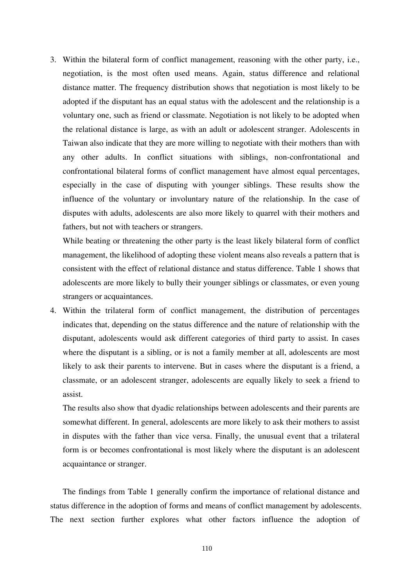3. Within the bilateral form of conflict management, reasoning with the other party, i.e., negotiation, is the most often used means. Again, status difference and relational distance matter. The frequency distribution shows that negotiation is most likely to be adopted if the disputant has an equal status with the adolescent and the relationship is a voluntary one, such as friend or classmate. Negotiation is not likely to be adopted when the relational distance is large, as with an adult or adolescent stranger. Adolescents in Taiwan also indicate that they are more willing to negotiate with their mothers than with any other adults. In conflict situations with siblings, non-confrontational and confrontational bilateral forms of conflict management have almost equal percentages, especially in the case of disputing with younger siblings. These results show the influence of the voluntary or involuntary nature of the relationship. In the case of disputes with adults, adolescents are also more likely to quarrel with their mothers and fathers, but not with teachers or strangers.

While beating or threatening the other party is the least likely bilateral form of conflict management, the likelihood of adopting these violent means also reveals a pattern that is consistent with the effect of relational distance and status difference. Table 1 shows that adolescents are more likely to bully their younger siblings or classmates, or even young strangers or acquaintances.

4. Within the trilateral form of conflict management, the distribution of percentages indicates that, depending on the status difference and the nature of relationship with the disputant, adolescents would ask different categories of third party to assist. In cases where the disputant is a sibling, or is not a family member at all, adolescents are most likely to ask their parents to intervene. But in cases where the disputant is a friend, a classmate, or an adolescent stranger, adolescents are equally likely to seek a friend to assist.

The results also show that dyadic relationships between adolescents and their parents are somewhat different. In general, adolescents are more likely to ask their mothers to assist in disputes with the father than vice versa. Finally, the unusual event that a trilateral form is or becomes confrontational is most likely where the disputant is an adolescent acquaintance or stranger.

The findings from Table 1 generally confirm the importance of relational distance and status difference in the adoption of forms and means of conflict management by adolescents. The next section further explores what other factors influence the adoption of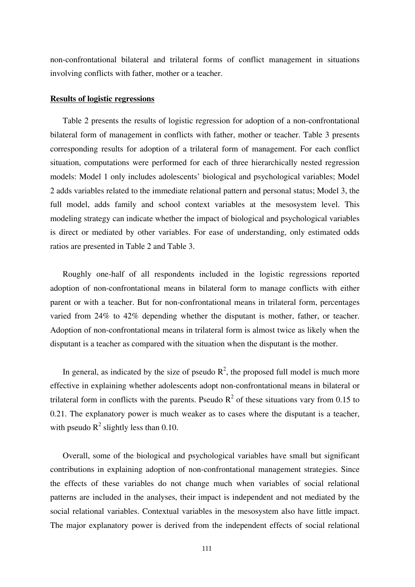non-confrontational bilateral and trilateral forms of conflict management in situations involving conflicts with father, mother or a teacher.

#### **Results of logistic regressions**

Table 2 presents the results of logistic regression for adoption of a non-confrontational bilateral form of management in conflicts with father, mother or teacher. Table 3 presents corresponding results for adoption of a trilateral form of management. For each conflict situation, computations were performed for each of three hierarchically nested regression models: Model 1 only includes adolescents' biological and psychological variables; Model 2 adds variables related to the immediate relational pattern and personal status; Model 3, the full model, adds family and school context variables at the mesosystem level. This modeling strategy can indicate whether the impact of biological and psychological variables is direct or mediated by other variables. For ease of understanding, only estimated odds ratios are presented in Table 2 and Table 3.

Roughly one-half of all respondents included in the logistic regressions reported adoption of non-confrontational means in bilateral form to manage conflicts with either parent or with a teacher. But for non-confrontational means in trilateral form, percentages varied from 24% to 42% depending whether the disputant is mother, father, or teacher. Adoption of non-confrontational means in trilateral form is almost twice as likely when the disputant is a teacher as compared with the situation when the disputant is the mother.

In general, as indicated by the size of pseudo  $\mathbb{R}^2$ , the proposed full model is much more effective in explaining whether adolescents adopt non-confrontational means in bilateral or trilateral form in conflicts with the parents. Pseudo  $R^2$  of these situations vary from 0.15 to 0.21. The explanatory power is much weaker as to cases where the disputant is a teacher, with pseudo  $R^2$  slightly less than 0.10.

Overall, some of the biological and psychological variables have small but significant contributions in explaining adoption of non-confrontational management strategies. Since the effects of these variables do not change much when variables of social relational patterns are included in the analyses, their impact is independent and not mediated by the social relational variables. Contextual variables in the mesosystem also have little impact. The major explanatory power is derived from the independent effects of social relational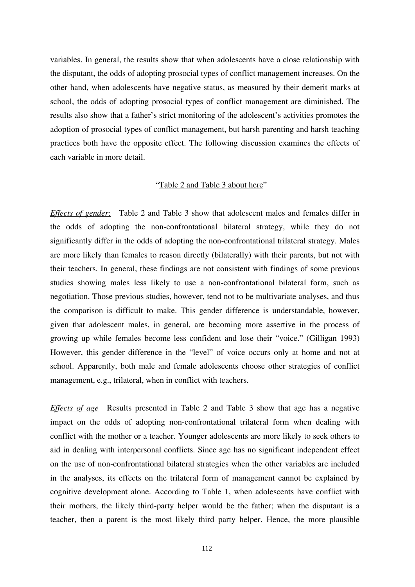variables. In general, the results show that when adolescents have a close relationship with the disputant, the odds of adopting prosocial types of conflict management increases. On the other hand, when adolescents have negative status, as measured by their demerit marks at school, the odds of adopting prosocial types of conflict management are diminished. The results also show that a father's strict monitoring of the adolescent's activities promotes the adoption of prosocial types of conflict management, but harsh parenting and harsh teaching practices both have the opposite effect. The following discussion examines the effects of each variable in more detail.

## "Table 2 and Table 3 about here"

*Effects of gender*: Table 2 and Table 3 show that adolescent males and females differ in the odds of adopting the non-confrontational bilateral strategy, while they do not significantly differ in the odds of adopting the non-confrontational trilateral strategy. Males are more likely than females to reason directly (bilaterally) with their parents, but not with their teachers. In general, these findings are not consistent with findings of some previous studies showing males less likely to use a non-confrontational bilateral form, such as negotiation. Those previous studies, however, tend not to be multivariate analyses, and thus the comparison is difficult to make. This gender difference is understandable, however, given that adolescent males, in general, are becoming more assertive in the process of growing up while females become less confident and lose their "voice." (Gilligan 1993) However, this gender difference in the "level" of voice occurs only at home and not at school. Apparently, both male and female adolescents choose other strategies of conflict management, e.g., trilateral, when in conflict with teachers.

*Effects of age* Results presented in Table 2 and Table 3 show that age has a negative impact on the odds of adopting non-confrontational trilateral form when dealing with conflict with the mother or a teacher. Younger adolescents are more likely to seek others to aid in dealing with interpersonal conflicts. Since age has no significant independent effect on the use of non-confrontational bilateral strategies when the other variables are included in the analyses, its effects on the trilateral form of management cannot be explained by cognitive development alone. According to Table 1, when adolescents have conflict with their mothers, the likely third-party helper would be the father; when the disputant is a teacher, then a parent is the most likely third party helper. Hence, the more plausible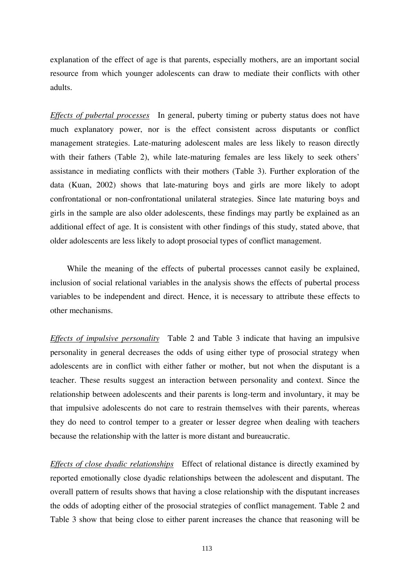explanation of the effect of age is that parents, especially mothers, are an important social resource from which younger adolescents can draw to mediate their conflicts with other adults.

*Effects of pubertal processes* In general, puberty timing or puberty status does not have much explanatory power, nor is the effect consistent across disputants or conflict management strategies. Late-maturing adolescent males are less likely to reason directly with their fathers (Table 2), while late-maturing females are less likely to seek others' assistance in mediating conflicts with their mothers (Table 3). Further exploration of the data (Kuan, 2002) shows that late-maturing boys and girls are more likely to adopt confrontational or non-confrontational unilateral strategies. Since late maturing boys and girls in the sample are also older adolescents, these findings may partly be explained as an additional effect of age. It is consistent with other findings of this study, stated above, that older adolescents are less likely to adopt prosocial types of conflict management.

While the meaning of the effects of pubertal processes cannot easily be explained, inclusion of social relational variables in the analysis shows the effects of pubertal process variables to be independent and direct. Hence, it is necessary to attribute these effects to other mechanisms.

*Effects of impulsive personality* Table 2 and Table 3 indicate that having an impulsive personality in general decreases the odds of using either type of prosocial strategy when adolescents are in conflict with either father or mother, but not when the disputant is a teacher. These results suggest an interaction between personality and context. Since the relationship between adolescents and their parents is long-term and involuntary, it may be that impulsive adolescents do not care to restrain themselves with their parents, whereas they do need to control temper to a greater or lesser degree when dealing with teachers because the relationship with the latter is more distant and bureaucratic.

*Effects of close dyadic relationships* Effect of relational distance is directly examined by reported emotionally close dyadic relationships between the adolescent and disputant. The overall pattern of results shows that having a close relationship with the disputant increases the odds of adopting either of the prosocial strategies of conflict management. Table 2 and Table 3 show that being close to either parent increases the chance that reasoning will be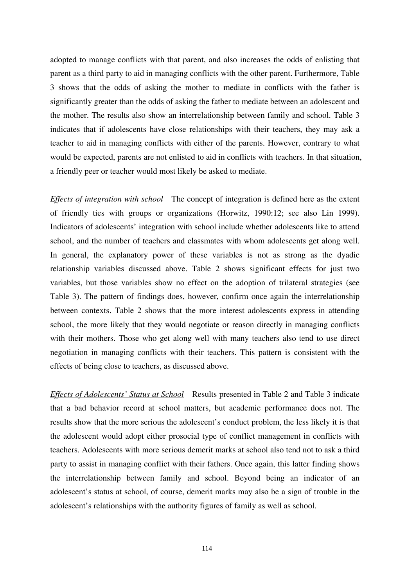adopted to manage conflicts with that parent, and also increases the odds of enlisting that parent as a third party to aid in managing conflicts with the other parent. Furthermore, Table 3 shows that the odds of asking the mother to mediate in conflicts with the father is significantly greater than the odds of asking the father to mediate between an adolescent and the mother. The results also show an interrelationship between family and school. Table 3 indicates that if adolescents have close relationships with their teachers, they may ask a teacher to aid in managing conflicts with either of the parents. However, contrary to what would be expected, parents are not enlisted to aid in conflicts with teachers. In that situation, a friendly peer or teacher would most likely be asked to mediate.

*Effects of integration with school* The concept of integration is defined here as the extent of friendly ties with groups or organizations (Horwitz, 1990:12; see also Lin 1999). Indicators of adolescents' integration with school include whether adolescents like to attend school, and the number of teachers and classmates with whom adolescents get along well. In general, the explanatory power of these variables is not as strong as the dyadic relationship variables discussed above. Table 2 shows significant effects for just two variables, but those variables show no effect on the adoption of trilateral strategies (see Table 3). The pattern of findings does, however, confirm once again the interrelationship between contexts. Table 2 shows that the more interest adolescents express in attending school, the more likely that they would negotiate or reason directly in managing conflicts with their mothers. Those who get along well with many teachers also tend to use direct negotiation in managing conflicts with their teachers. This pattern is consistent with the effects of being close to teachers, as discussed above.

*Effects of Adolescents' Status at School* Results presented in Table 2 and Table 3 indicate that a bad behavior record at school matters, but academic performance does not. The results show that the more serious the adolescent's conduct problem, the less likely it is that the adolescent would adopt either prosocial type of conflict management in conflicts with teachers. Adolescents with more serious demerit marks at school also tend not to ask a third party to assist in managing conflict with their fathers. Once again, this latter finding shows the interrelationship between family and school. Beyond being an indicator of an adolescent's status at school, of course, demerit marks may also be a sign of trouble in the adolescent's relationships with the authority figures of family as well as school.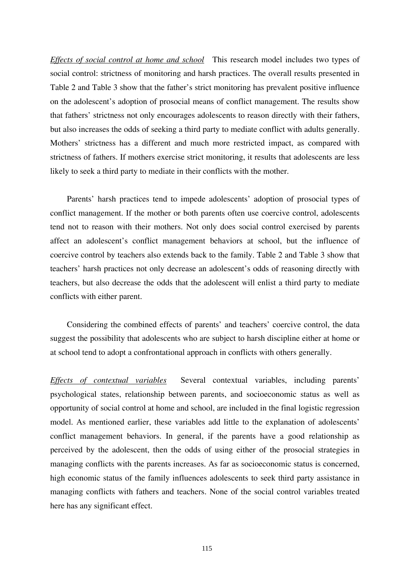*Effects of social control at home and school* This research model includes two types of social control: strictness of monitoring and harsh practices. The overall results presented in Table 2 and Table 3 show that the father's strict monitoring has prevalent positive influence on the adolescent's adoption of prosocial means of conflict management. The results show that fathers' strictness not only encourages adolescents to reason directly with their fathers, but also increases the odds of seeking a third party to mediate conflict with adults generally. Mothers' strictness has a different and much more restricted impact, as compared with strictness of fathers. If mothers exercise strict monitoring, it results that adolescents are less likely to seek a third party to mediate in their conflicts with the mother.

Parents' harsh practices tend to impede adolescents' adoption of prosocial types of conflict management. If the mother or both parents often use coercive control, adolescents tend not to reason with their mothers. Not only does social control exercised by parents affect an adolescent's conflict management behaviors at school, but the influence of coercive control by teachers also extends back to the family. Table 2 and Table 3 show that teachers' harsh practices not only decrease an adolescent's odds of reasoning directly with teachers, but also decrease the odds that the adolescent will enlist a third party to mediate conflicts with either parent.

Considering the combined effects of parents' and teachers' coercive control, the data suggest the possibility that adolescents who are subject to harsh discipline either at home or at school tend to adopt a confrontational approach in conflicts with others generally.

*Effects of contextual variables* Several contextual variables, including parents' psychological states, relationship between parents, and socioeconomic status as well as opportunity of social control at home and school, are included in the final logistic regression model. As mentioned earlier, these variables add little to the explanation of adolescents' conflict management behaviors. In general, if the parents have a good relationship as perceived by the adolescent, then the odds of using either of the prosocial strategies in managing conflicts with the parents increases. As far as socioeconomic status is concerned, high economic status of the family influences adolescents to seek third party assistance in managing conflicts with fathers and teachers. None of the social control variables treated here has any significant effect.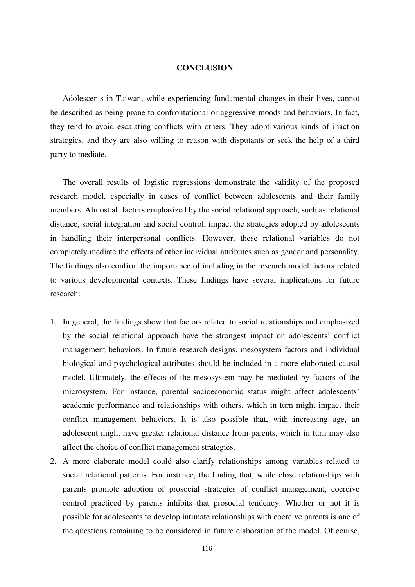### **CONCLUSION**

Adolescents in Taiwan, while experiencing fundamental changes in their lives, cannot be described as being prone to confrontational or aggressive moods and behaviors. In fact, they tend to avoid escalating conflicts with others. They adopt various kinds of inaction strategies, and they are also willing to reason with disputants or seek the help of a third party to mediate.

The overall results of logistic regressions demonstrate the validity of the proposed research model, especially in cases of conflict between adolescents and their family members. Almost all factors emphasized by the social relational approach, such as relational distance, social integration and social control, impact the strategies adopted by adolescents in handling their interpersonal conflicts. However, these relational variables do not completely mediate the effects of other individual attributes such as gender and personality. The findings also confirm the importance of including in the research model factors related to various developmental contexts. These findings have several implications for future research:

- 1. In general, the findings show that factors related to social relationships and emphasized by the social relational approach have the strongest impact on adolescents' conflict management behaviors. In future research designs, mesosystem factors and individual biological and psychological attributes should be included in a more elaborated causal model. Ultimately, the effects of the mesosystem may be mediated by factors of the microsystem. For instance, parental socioeconomic status might affect adolescents' academic performance and relationships with others, which in turn might impact their conflict management behaviors. It is also possible that, with increasing age, an adolescent might have greater relational distance from parents, which in turn may also affect the choice of conflict management strategies.
- 2. A more elaborate model could also clarify relationships among variables related to social relational patterns. For instance, the finding that, while close relationships with parents promote adoption of prosocial strategies of conflict management, coercive control practiced by parents inhibits that prosocial tendency. Whether or not it is possible for adolescents to develop intimate relationships with coercive parents is one of the questions remaining to be considered in future elaboration of the model. Of course,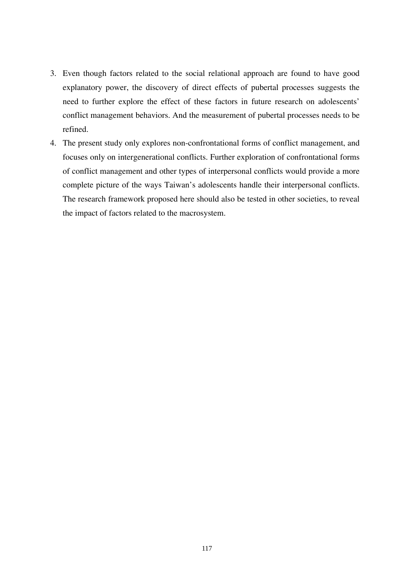- 3. Even though factors related to the social relational approach are found to have good explanatory power, the discovery of direct effects of pubertal processes suggests the need to further explore the effect of these factors in future research on adolescents' conflict management behaviors. And the measurement of pubertal processes needs to be refined.
- 4. The present study only explores non-confrontational forms of conflict management, and focuses only on intergenerational conflicts. Further exploration of confrontational forms of conflict management and other types of interpersonal conflicts would provide a more complete picture of the ways Taiwan's adolescents handle their interpersonal conflicts. The research framework proposed here should also be tested in other societies, to reveal the impact of factors related to the macrosystem.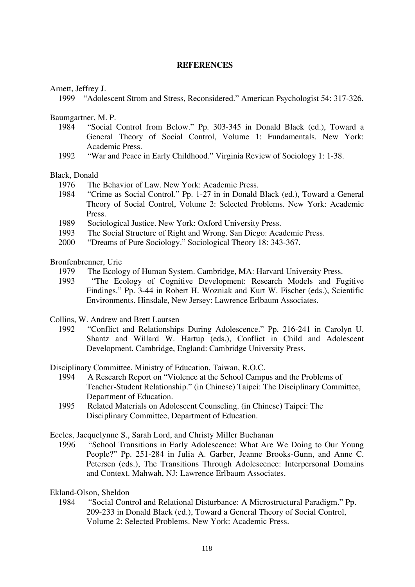## **REFERENCES**

## Arnett, Jeffrey J.

1999 "Adolescent Strom and Stress, Reconsidered." American Psychologist 54: 317-326.

## Baumgartner, M. P.

- 1984 "Social Control from Below." Pp. 303-345 in Donald Black (ed.), Toward a General Theory of Social Control, Volume 1: Fundamentals. New York: Academic Press.
- 1992 "War and Peace in Early Childhood." Virginia Review of Sociology 1: 1-38.

## Black, Donald

- 1976 The Behavior of Law. New York: Academic Press.
- 1984 "Crime as Social Control." Pp. 1-27 in in Donald Black (ed.), Toward a General Theory of Social Control, Volume 2: Selected Problems. New York: Academic Press.
- 1989 Sociological Justice. New York: Oxford University Press.
- 1993 The Social Structure of Right and Wrong. San Diego: Academic Press.
- 2000 "Dreams of Pure Sociology." Sociological Theory 18: 343-367.

Bronfenbrenner, Urie

- 1979 The Ecology of Human System. Cambridge, MA: Harvard University Press.
- 1993 "The Ecology of Cognitive Development: Research Models and Fugitive Findings." Pp. 3-44 in Robert H. Wozniak and Kurt W. Fischer (eds.), Scientific Environments. Hinsdale, New Jersey: Lawrence Erlbaum Associates.
- Collins, W. Andrew and Brett Laursen
	- 1992 "Conflict and Relationships During Adolescence." Pp. 216-241 in Carolyn U. Shantz and Willard W. Hartup (eds.), Conflict in Child and Adolescent Development. Cambridge, England: Cambridge University Press.

Disciplinary Committee, Ministry of Education, Taiwan, R.O.C.

- 1994 A Research Report on "Violence at the School Campus and the Problems of Teacher-Student Relationship." (in Chinese) Taipei: The Disciplinary Committee, Department of Education.
- 1995 Related Materials on Adolescent Counseling. (in Chinese) Taipei: The Disciplinary Committee, Department of Education.

Eccles, Jacquelynne S., Sarah Lord, and Christy Miller Buchanan

1996 "School Transitions in Early Adolescence: What Are We Doing to Our Young People?" Pp. 251-284 in Julia A. Garber, Jeanne Brooks-Gunn, and Anne C. Petersen (eds.), The Transitions Through Adolescence: Interpersonal Domains and Context. Mahwah, NJ: Lawrence Erlbaum Associates.

## Ekland-Olson, Sheldon

1984 "Social Control and Relational Disturbance: A Microstructural Paradigm." Pp. 209-233 in Donald Black (ed.), Toward a General Theory of Social Control, Volume 2: Selected Problems. New York: Academic Press.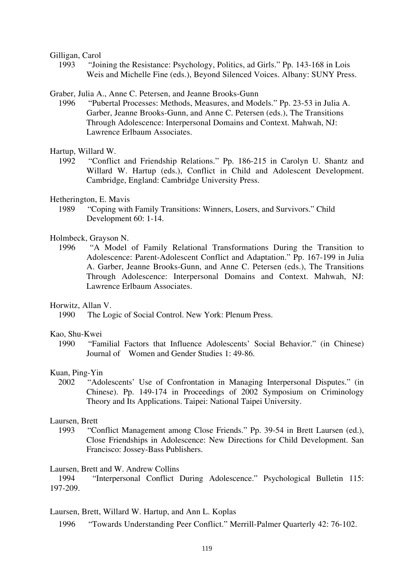#### Gilligan, Carol

1993 "Joining the Resistance: Psychology, Politics, ad Girls." Pp. 143-168 in Lois Weis and Michelle Fine (eds.), Beyond Silenced Voices. Albany: SUNY Press.

#### Graber, Julia A., Anne C. Petersen, and Jeanne Brooks-Gunn

1996 "Pubertal Processes: Methods, Measures, and Models." Pp. 23-53 in Julia A. Garber, Jeanne Brooks-Gunn, and Anne C. Petersen (eds.), The Transitions Through Adolescence: Interpersonal Domains and Context. Mahwah, NJ: Lawrence Erlbaum Associates.

#### Hartup, Willard W.

1992 "Conflict and Friendship Relations." Pp. 186-215 in Carolyn U. Shantz and Willard W. Hartup (eds.), Conflict in Child and Adolescent Development. Cambridge, England: Cambridge University Press.

#### Hetherington, E. Mavis

 1989 "Coping with Family Transitions: Winners, Losers, and Survivors." Child Development 60: 1-14.

#### Holmbeck, Grayson N.

1996 "A Model of Family Relational Transformations During the Transition to Adolescence: Parent-Adolescent Conflict and Adaptation." Pp. 167-199 in Julia A. Garber, Jeanne Brooks-Gunn, and Anne C. Petersen (eds.), The Transitions Through Adolescence: Interpersonal Domains and Context. Mahwah, NJ: Lawrence Erlbaum Associates.

## Horwitz, Allan V.

1990 The Logic of Social Control. New York: Plenum Press.

## Kao, Shu-Kwei

1990 "Familial Factors that Influence Adolescents' Social Behavior." (in Chinese) Journal of Women and Gender Studies 1: 49-86.

#### Kuan, Ping-Yin

2002 "Adolescents' Use of Confrontation in Managing Interpersonal Disputes." (in Chinese). Pp. 149-174 in Proceedings of 2002 Symposium on Criminology Theory and Its Applications. Taipei: National Taipei University.

#### Laursen, Brett

1993 "Conflict Management among Close Friends." Pp. 39-54 in Brett Laursen (ed.), Close Friendships in Adolescence: New Directions for Child Development. San Francisco: Jossey-Bass Publishers.

## Laursen, Brett and W. Andrew Collins

1994 "Interpersonal Conflict During Adolescence." Psychological Bulletin 115: 197-209.

### Laursen, Brett, Willard W. Hartup, and Ann L. Koplas

1996 "Towards Understanding Peer Conflict." Merrill-Palmer Quarterly 42: 76-102.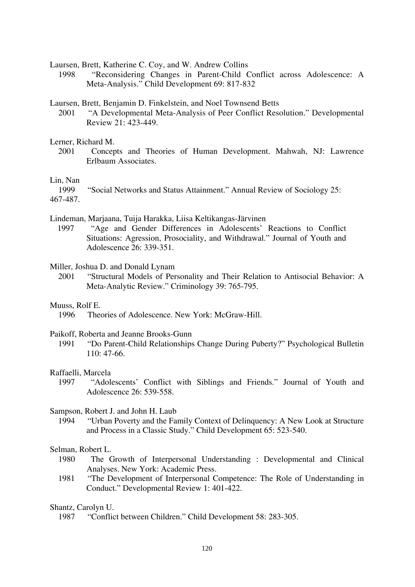Laursen, Brett, Katherine C. Coy, and W. Andrew Collins

1998 "Reconsidering Changes in Parent-Child Conflict across Adolescence: A Meta-Analysis." Child Development 69: 817-832

#### Laursen, Brett, Benjamin D. Finkelstein, and Noel Townsend Betts

2001 "A Developmental Meta-Analysis of Peer Conflict Resolution." Developmental Review 21: 423-449.

## Lerner, Richard M.

2001 Concepts and Theories of Human Development. Mahwah, NJ: Lawrence Erlbaum Associates.

## Lin, Nan

1999 "Social Networks and Status Attainment." Annual Review of Sociology 25: 467-487.

- Lindeman, Marjaana, Tuija Harakka, Liisa Keltikangas-Järvinen
	- 1997 "Age and Gender Differences in Adolescents' Reactions to Conflict Situations: Agression, Prosociality, and Withdrawal." Journal of Youth and Adolescence 26: 339-351.

#### Miller, Joshua D. and Donald Lynam

2001 "Structural Models of Personality and Their Relation to Antisocial Behavior: A Meta-Analytic Review." Criminology 39: 765-795.

## Muuss, Rolf E.

1996 Theories of Adolescence. New York: McGraw-Hill.

#### Paikoff, Roberta and Jeanne Brooks-Gunn

1991 "Do Parent-Child Relationships Change During Puberty?" Psychological Bulletin 110: 47-66.

#### Raffaelli, Marcela

1997 "Adolescents' Conflict with Siblings and Friends." Journal of Youth and Adolescence 26: 539-558.

#### Sampson, Robert J. and John H. Laub

1994 "Urban Poverty and the Family Context of Delinquency: A New Look at Structure and Process in a Classic Study." Child Development 65: 523-540.

#### Selman, Robert L.

- 1980 The Growth of Interpersonal Understanding : Developmental and Clinical Analyses. New York: Academic Press.
- 1981 "The Development of Interpersonal Competence: The Role of Understanding in Conduct." Developmental Review 1: 401-422.

## Shantz, Carolyn U.

1987 "Conflict between Children." Child Development 58: 283-305.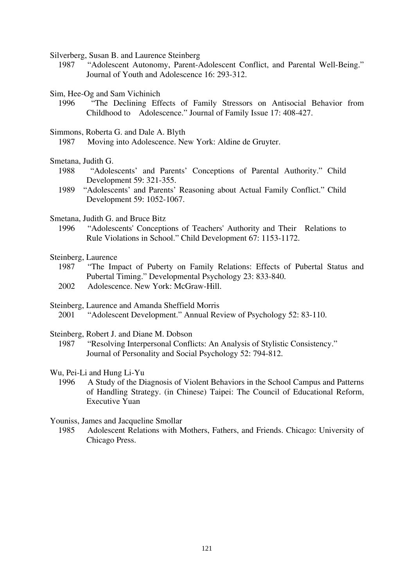Silverberg, Susan B. and Laurence Steinberg

- 1987 "Adolescent Autonomy, Parent-Adolescent Conflict, and Parental Well-Being." Journal of Youth and Adolescence 16: 293-312.
- Sim, Hee-Og and Sam Vichinich
	- 1996 "The Declining Effects of Family Stressors on Antisocial Behavior from Childhood to Adolescence." Journal of Family Issue 17: 408-427.
- Simmons, Roberta G. and Dale A. Blyth

1987 Moving into Adolescence. New York: Aldine de Gruyter.

Smetana, Judith G.

- 1988 "Adolescents' and Parents' Conceptions of Parental Authority." Child Development 59: 321-355.
- 1989 "Adolescents' and Parents' Reasoning about Actual Family Conflict." Child Development 59: 1052-1067.

Smetana, Judith G. and Bruce Bitz

- 1996 "Adolescents' Conceptions of Teachers' Authority and Their Relations to Rule Violations in School." Child Development 67: 1153-1172.
- Steinberg, Laurence
	- 1987 "The Impact of Puberty on Family Relations: Effects of Pubertal Status and Pubertal Timing." Developmental Psychology 23: 833-840.
	- 2002 Adolescence. New York: McGraw-Hill.
- Steinberg, Laurence and Amanda Sheffield Morris
	- 2001 "Adolescent Development." Annual Review of Psychology 52: 83-110.

Steinberg, Robert J. and Diane M. Dobson

- 1987 "Resolving Interpersonal Conflicts: An Analysis of Stylistic Consistency." Journal of Personality and Social Psychology 52: 794-812.
- Wu, Pei-Li and Hung Li-Yu
	- 1996 A Study of the Diagnosis of Violent Behaviors in the School Campus and Patterns of Handling Strategy. (in Chinese) Taipei: The Council of Educational Reform, Executive Yuan

#### Youniss, James and Jacqueline Smollar

1985 Adolescent Relations with Mothers, Fathers, and Friends. Chicago: University of Chicago Press.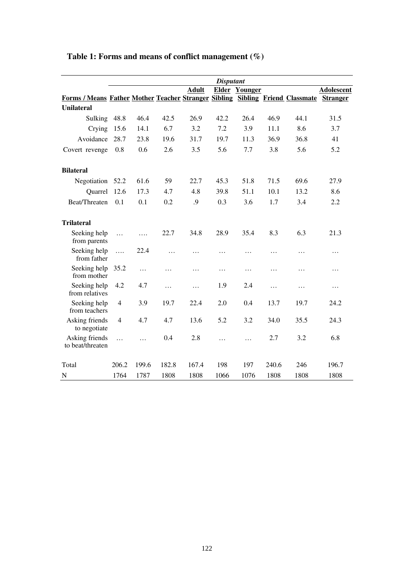|                                                                                        | <b>Disputant</b> |          |          |              |      |                      |          |      |                   |
|----------------------------------------------------------------------------------------|------------------|----------|----------|--------------|------|----------------------|----------|------|-------------------|
|                                                                                        |                  |          |          | <b>Adult</b> |      | <b>Elder Younger</b> |          |      | <b>Adolescent</b> |
| Forms / Means Father Mother Teacher Stranger Sibling Sibling Friend Classmate Stranger |                  |          |          |              |      |                      |          |      |                   |
| <b>Unilateral</b>                                                                      |                  |          |          |              |      |                      |          |      |                   |
| Sulking                                                                                | 48.8             | 46.4     | 42.5     | 26.9         | 42.2 | 26.4                 | 46.9     | 44.1 | 31.5              |
| Crying                                                                                 | 15.6             | 14.1     | 6.7      | 3.2          | 7.2  | 3.9                  | 11.1     | 8.6  | 3.7               |
| Avoidance                                                                              | 28.7             | 23.8     | 19.6     | 31.7         | 19.7 | 11.3                 | 36.9     | 36.8 | 41                |
| Covert revenge                                                                         | 0.8              | 0.6      | 2.6      | 3.5          | 5.6  | 7.7                  | 3.8      | 5.6  | 5.2               |
| <b>Bilateral</b>                                                                       |                  |          |          |              |      |                      |          |      |                   |
| Negotiation 52.2                                                                       |                  | 61.6     | 59       | 22.7         | 45.3 | 51.8                 | 71.5     | 69.6 | 27.9              |
| Quarrel                                                                                | 12.6             | 17.3     | 4.7      | 4.8          | 39.8 | 51.1                 | 10.1     | 13.2 | 8.6               |
| Beat/Threaten                                                                          | 0.1              | 0.1      | 0.2      | .9           | 0.3  | 3.6                  | 1.7      | 3.4  | 2.2               |
| <b>Trilateral</b>                                                                      |                  |          |          |              |      |                      |          |      |                   |
| Seeking help<br>from parents                                                           | .                | .        | 22.7     | 34.8         | 28.9 | 35.4                 | 8.3      | 6.3  | 21.3              |
| Seeking help<br>from father                                                            | .                | 22.4     | $\cdots$ | .            | .    | .                    | .        | .    | .                 |
| Seeking help<br>from mother                                                            | 35.2             | $\cdots$ | $\cdots$ | .            | .    | .                    | .        | .    | .                 |
| Seeking help<br>from relatives                                                         | 4.2              | 4.7      | .        | .            | 1.9  | 2.4                  | $\cdots$ | .    | .                 |
| Seeking help<br>from teachers                                                          | $\overline{4}$   | 3.9      | 19.7     | 22.4         | 2.0  | 0.4                  | 13.7     | 19.7 | 24.2              |
| Asking friends<br>to negotiate                                                         | $\overline{4}$   | 4.7      | 4.7      | 13.6         | 5.2  | 3.2                  | 34.0     | 35.5 | 24.3              |
| Asking friends<br>to beat/threaten                                                     | $\ddotsc$        | .        | 0.4      | 2.8          | .    | .                    | 2.7      | 3.2  | 6.8               |
| Total                                                                                  | 206.2            | 199.6    | 182.8    | 167.4        | 198  | 197                  | 240.6    | 246  | 196.7             |
| N                                                                                      | 1764             | 1787     | 1808     | 1808         | 1066 | 1076                 | 1808     | 1808 | 1808              |

## **Table 1: Forms and means of conflict management (%)**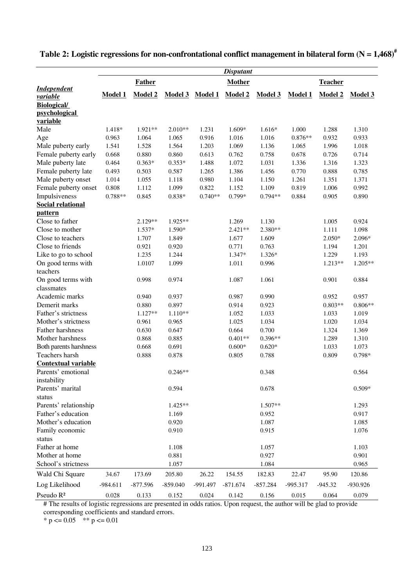|                                       | <b>Disputant</b> |                |            |                |               |            |                |           |                |  |
|---------------------------------------|------------------|----------------|------------|----------------|---------------|------------|----------------|-----------|----------------|--|
|                                       |                  | <b>Father</b>  |            |                | <b>Mother</b> |            | <b>Teacher</b> |           |                |  |
| <b>Independent</b><br><u>variable</u> | <b>Model 1</b>   | <b>Model 2</b> | Model 3    | <b>Model 1</b> | Model 2       | Model 3    | <b>Model 1</b> | Model 2   | <b>Model 3</b> |  |
| <b>Biological/</b>                    |                  |                |            |                |               |            |                |           |                |  |
| <b>psychological</b>                  |                  |                |            |                |               |            |                |           |                |  |
| variable                              |                  |                |            |                |               |            |                |           |                |  |
| Male                                  | 1.418*           | 1.921**        | $2.010**$  | 1.231          | 1.609*        | $1.616*$   | 1.000          | 1.288     | 1.310          |  |
| Age                                   | 0.963            | 1.064          | 1.065      | 0.916          | 1.016         | 1.016      | $0.876**$      | 0.932     | 0.933          |  |
| Male puberty early                    | 1.541            | 1.528          | 1.564      | 1.203          | 1.069         | 1.136      | 1.065          | 1.996     | 1.018          |  |
| Female puberty early                  | 0.668            | 0.880          | 0.860      | 0.613          | 0.762         | 0.758      | 0.678          | 0.726     | 0.714          |  |
| Male puberty late                     | 0.464            | $0.363*$       | $0.353*$   | 1.488          | 1.072         | 1.031      | 1.336          | 1.316     | 1.323          |  |
| Female puberty late                   | 0.493            | 0.503          | 0.587      | 1.265          | 1.386         | 1.456      | 0.770          | 0.888     | 0.785          |  |
| Male puberty onset                    | 1.014            | 1.055          | 1.118      | 0.980          | 1.104         | 1.150      | 1.261          | 1.351     | 1.371          |  |
| Female puberty onset                  | 0.808            | 1.112          | 1.099      | 0.822          | 1.152         | 1.109      | 0.819          | 1.006     | 0.992          |  |
| Impulsiveness                         | 0.788**          | 0.845          | $0.838*$   | $0.740**$      | $0.799*$      | $0.794**$  | 0.884          | 0.905     | 0.890          |  |
| <b>Social relational</b>              |                  |                |            |                |               |            |                |           |                |  |
| pattern                               |                  |                |            |                |               |            |                |           |                |  |
| Close to father                       |                  | $2.129**$      | $1.925**$  |                | 1.269         | 1.130      |                | 1.005     | 0.924          |  |
| Close to mother                       |                  | $1.537*$       | 1.590*     |                | 2.421**       | 2.380**    |                | 1.111     | 1.098          |  |
| Close to teachers                     |                  | 1.707          | 1.849      |                | 1.677         | 1.609      |                | $2.050*$  | 2.096*         |  |
| Close to friends                      |                  | 0.921          | 0.920      |                | 0.771         | 0.763      |                | 1.194     | 1.201          |  |
| Like to go to school                  |                  | 1.235          | 1.244      |                | 1.347*        | 1.326*     |                | 1.229     | 1.193          |  |
| On good terms with                    |                  | 1.0107         | 1.099      |                | 1.011         | 0.996      |                | 1.213**   | $1.205**$      |  |
| teachers                              |                  |                |            |                |               |            |                |           |                |  |
| On good terms with                    |                  | 0.998          | 0.974      |                | 1.087         | 1.061      |                | 0.901     | 0.884          |  |
| classmates                            |                  |                |            |                |               |            |                |           |                |  |
| Academic marks                        |                  | 0.940          | 0.937      |                | 0.987         | 0.990      |                | 0.952     | 0.957          |  |
| Demerit marks                         |                  | 0.880          | 0.897      |                | 0.914         | 0.923      |                | $0.803**$ | $0.806**$      |  |
| Father's strictness                   |                  | $1.127**$      | $1.110**$  |                | 1.052         | 1.033      |                | 1.033     | 1.019          |  |
| Mother's strictness                   |                  | 0.961          | 0.965      |                | 1.025         | 1.034      |                | 1.020     | 1.034          |  |
| Father harshness                      |                  | 0.630          | 0.647      |                | 0.664         | 0.700      |                | 1.324     | 1.369          |  |
| Mother harshness                      |                  | 0.868          | 0.885      |                | $0.401**$     | 0.396**    |                | 1.289     | 1.310          |  |
| Both parents harshness                |                  | 0.668          | 0.691      |                | $0.600*$      | $0.620*$   |                | 1.033     | 1.073          |  |
| <b>Teachers</b> harsh                 |                  | 0.888          | 0.878      |                | 0.805         | 0.788      |                | 0.809     | $0.798*$       |  |
| <b>Contextual variable</b>            |                  |                |            |                |               |            |                |           |                |  |
| Parents' emotional                    |                  |                | $0.246**$  |                |               | 0.348      |                |           | 0.564          |  |
| instability                           |                  |                |            |                |               |            |                |           |                |  |
| Parents' marital                      |                  |                | 0.594      |                |               | 0.678      |                |           | $0.509*$       |  |
| status                                |                  |                |            |                |               |            |                |           |                |  |
| Parents' relationship                 |                  |                | $1.425**$  |                |               | $1.507**$  |                |           | 1.293          |  |
| Father's education                    |                  |                | 1.169      |                |               | 0.952      |                |           | 0.917          |  |
| Mother's education                    |                  |                | 0.920      |                |               | 1.087      |                |           | 1.085          |  |
| Family economic                       |                  |                | 0.910      |                |               | 0.915      |                |           | 1.076          |  |
| status                                |                  |                |            |                |               |            |                |           |                |  |
| Father at home                        |                  |                | 1.108      |                |               | 1.057      |                |           | 1.103          |  |
| Mother at home                        |                  |                | 0.881      |                |               | 0.927      |                |           | 0.901          |  |
| School's strictness                   |                  |                | 1.057      |                |               | 1.084      |                |           | 0.965          |  |
| Wald Chi Square                       | 34.67            | 173.69         | 205.80     | 26.22          | 154.55        | 182.83     | 22.47          | 95.90     | 120.86         |  |
| Log Likelihood                        | $-984.611$       | $-877.596$     | $-859.040$ | -991.497       | $-871.674$    | $-857.284$ | -995.317       | $-945.32$ | -930.926       |  |
| Pseudo R <sup>2</sup>                 | 0.028            | 0.133          | 0.152      | 0.024          | 0.142         | 0.156      | 0.015          | 0.064     | 0.079          |  |

## Table 2: Logistic regressions for non-confrontational conflict management in bilateral form (N = 1,468)<sup>#</sup>

# The results of logistic regressions are presented in odds ratios. Upon request, the author will be glad to provide corresponding coefficients and standard errors.

\*  $p \le 0.05$  \*\*  $p \le 0.01$